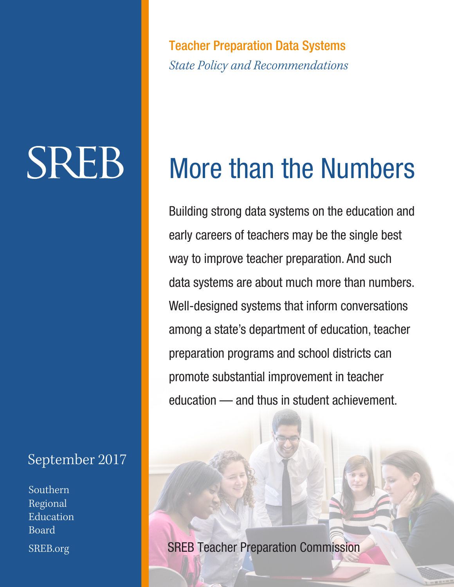Teacher Preparation Data Systems *State Policy and Recommendations*

# **SREB**

### September 2017

Southern Regional **Education** Board SREB.org

# More than the Numbers

Building strong data systems on the education and early careers of teachers may be the single best way to improve teacher preparation. And such data systems are about much more than numbers. Well-designed systems that inform conversations among a state's department of education, teacher preparation programs and school districts can promote substantial improvement in teacher education — and thus in student achievement.

SREB Teacher Preparation Commission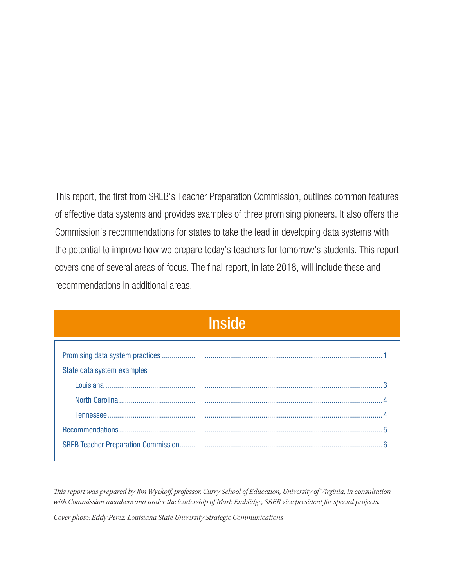This report, the first from SREB's Teacher Preparation Commission, outlines common features of effective data systems and provides examples of three promising pioneers. It also offers the Commission's recommendations for states to take the lead in developing data systems with the potential to improve how we prepare today's teachers for tomorrow's students. This report covers one of several areas of focus. The final report, in late 2018, will include these and recommendations in additional areas.

| <b>Inside</b>              |  |
|----------------------------|--|
|                            |  |
| State data system examples |  |
|                            |  |
|                            |  |
|                            |  |
|                            |  |
|                            |  |

*This report was prepared by Jim Wyckoff, professor, Curry School of Education, University of Virginia, in consultation with Commission members and under the leadership of Mark Emblidge, SREB vice president for special projects.*

*Cover photo: Eddy Perez, Louisiana State University Strategic Communications*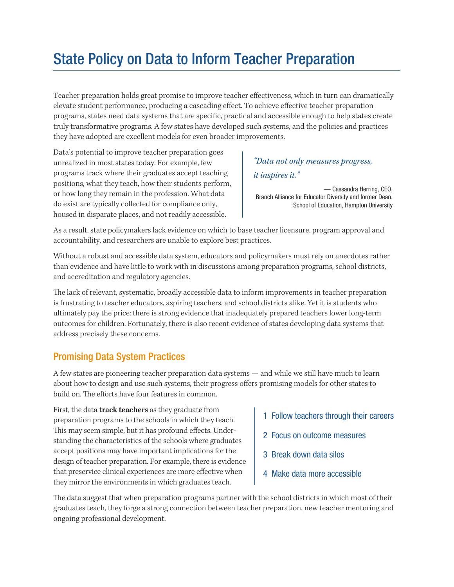# State Policy on Data to Inform Teacher Preparation

Teacher preparation holds great promise to improve teacher effectiveness, which in turn can dramatically elevate student performance, producing a cascading effect. To achieve effective teacher preparation programs, states need data systems that are specific, practical and accessible enough to help states create truly transformative programs. A few states have developed such systems, and the policies and practices they have adopted are excellent models for even broader improvements.

Data's potential to improve teacher preparation goes unrealized in most states today. For example, few programs track where their graduates accept teaching positions, what they teach, how their students perform, or how long they remain in the profession. What data do exist are typically collected for compliance only, housed in disparate places, and not readily accessible.

#### *"Data not only measures progress, it inspires it."*

— Cassandra Herring, CEO, Branch Alliance for Educator Diversity and former Dean, School of Education, Hampton University

As a result, state policymakers lack evidence on which to base teacher licensure, program approval and accountability, and researchers are unable to explore best practices.

Without a robust and accessible data system, educators and policymakers must rely on anecdotes rather than evidence and have little to work with in discussions among preparation programs, school districts, and accreditation and regulatory agencies.

The lack of relevant, systematic, broadly accessible data to inform improvements in teacher preparation is frustrating to teacher educators, aspiring teachers, and school districts alike. Yet it is students who ultimately pay the price: there is strong evidence that inadequately prepared teachers lower long-term outcomes for children. Fortunately, there is also recent evidence of states developing data systems that address precisely these concerns.

#### Promising Data System Practices

A few states are pioneering teacher preparation data systems — and while we still have much to learn about how to design and use such systems, their progress offers promising models for other states to build on. The efforts have four features in common.

First, the data **track teachers** as they graduate from preparation programs to the schools in which they teach. This may seem simple, but it has profound effects. Understanding the characteristics of the schools where graduates accept positions may have important implications for the design of teacher preparation. For example, there is evidence that preservice clinical experiences are more effective when they mirror the environments in which graduates teach.

- 1 Follow teachers through their careers
- 2 Focus on outcome measures
- 3 Break down data silos
- 4 Make data more accessible

The data suggest that when preparation programs partner with the school districts in which most of their graduates teach, they forge a strong connection between teacher preparation, new teacher mentoring and ongoing professional development.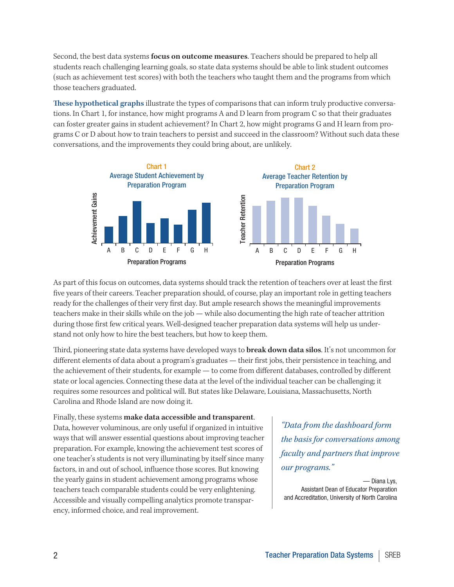Second, the best data systems **focus on outcome measures**. Teachers should be prepared to help all students reach challenging learning goals, so state data systems should be able to link student outcomes (such as achievement test scores) with both the teachers who taught them and the programs from which those teachers graduated.

**These hypothetical graphs** illustrate the types of comparisons that can inform truly productive conversations. In Chart 1, for instance, how might programs A and D learn from program C so that their graduates can foster greater gains in student achievement? In Chart 2, how might programs G and H learn from programs C or D about how to train teachers to persist and succeed in the classroom? Without such data these conversations, and the improvements they could bring about, are unlikely.



As part of this focus on outcomes, data systems should track the retention of teachers over at least the first five years of their careers. Teacher preparation should, of course, play an important role in getting teachers ready for the challenges of their very first day. But ample research shows the meaningful improvements teachers make in their skills while on the job — while also documenting the high rate of teacher attrition during those first few critical years. Well-designed teacher preparation data systems will help us understand not only how to hire the best teachers, but how to keep them.

Third, pioneering state data systems have developed ways to **break down data silos**. It's not uncommon for different elements of data about a program's graduates — their first jobs, their persistence in teaching, and the achievement of their students, for example — to come from different databases, controlled by different state or local agencies. Connecting these data at the level of the individual teacher can be challenging; it requires some resources and political will. But states like Delaware, Louisiana, Massachusetts, North Carolina and Rhode Island are now doing it.

Finally, these systems **make data accessible and transparent**. Data, however voluminous, are only useful if organized in intuitive ways that will answer essential questions about improving teacher preparation. For example, knowing the achievement test scores of one teacher's students is not very illuminating by itself since many factors, in and out of school, influence those scores. But knowing the yearly gains in student achievement among programs whose teachers teach comparable students could be very enlightening. Accessible and visually compelling analytics promote transparency, informed choice, and real improvement.

*"Data from the dashboard form the basis for conversations among faculty and partners that improve our programs."*

— Diana Lys, Assistant Dean of Educator Preparation and Accreditation, University of North Carolina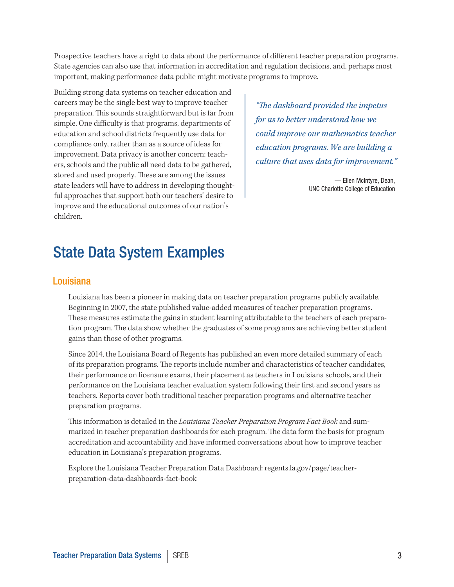Prospective teachers have a right to data about the performance of different teacher preparation programs. State agencies can also use that information in accreditation and regulation decisions, and, perhaps most important, making performance data public might motivate programs to improve.

Building strong data systems on teacher education and careers may be the single best way to improve teacher preparation. This sounds straightforward but is far from simple. One difficulty is that programs, departments of education and school districts frequently use data for compliance only, rather than as a source of ideas for improvement. Data privacy is another concern: teachers, schools and the public all need data to be gathered, stored and used properly. These are among the issues state leaders will have to address in developing thoughtful approaches that support both our teachers' desire to improve and the educational outcomes of our nation's children.

*"The dashboard provided the impetus for us to better understand how we could improve our mathematics teacher education programs. We are building a culture that uses data for improvement."*

> — Ellen McIntyre, Dean, UNC Charlotte College of Education

### State Data System Examples

#### Louisiana

Louisiana has been a pioneer in making data on teacher preparation programs publicly available. Beginning in 2007, the state published value-added measures of teacher preparation programs. These measures estimate the gains in student learning attributable to the teachers of each preparation program. The data show whether the graduates of some programs are achieving better student gains than those of other programs.

Since 2014, the Louisiana Board of Regents has published an even more detailed summary of each of its preparation programs. The reports include number and characteristics of teacher candidates, their performance on licensure exams, their placement as teachers in Louisiana schools, and their performance on the Louisiana teacher evaluation system following their first and second years as teachers. Reports cover both traditional teacher preparation programs and alternative teacher preparation programs.

This information is detailed in the *Louisiana Teacher Preparation Program Fact Book* and summarized in teacher preparation dashboards for each program. The data form the basis for program accreditation and accountability and have informed conversations about how to improve teacher education in Louisiana's preparation programs.

Explore the Louisiana Teacher Preparation Data Dashboard: regents.la.gov/page/teacherpreparation-data-dashboards-fact-book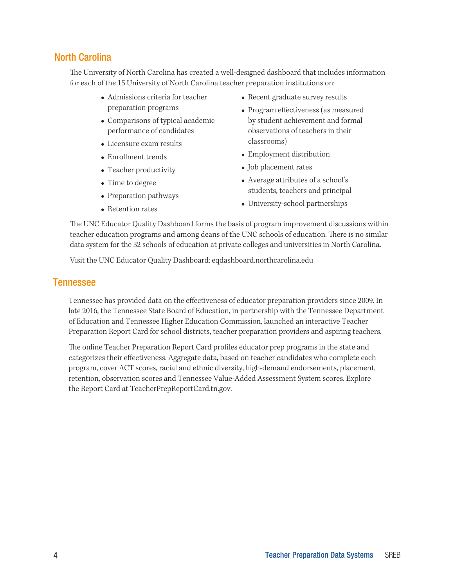#### North Carolina

The University of North Carolina has created a well-designed dashboard that includes information for each of the 15 University of North Carolina teacher preparation institutions on:

- Admissions criteria for teacher preparation programs
- Comparisons of typical academic performance of candidates
- Licensure exam results
- Enrollment trends
- $\bullet$  Teacher productivity
- Time to degree
- Preparation pathways
- Retention rates
- Recent graduate survey results
- Program effectiveness (as measured by student achievement and formal observations of teachers in their classrooms)
- Employment distribution
- Job placement rates
- Average attributes of a school's students, teachers and principal
- University-school partnerships

The UNC Educator Quality Dashboard forms the basis of program improvement discussions within teacher education programs and among deans of the UNC schools of education. There is no similar data system for the 32 schools of education at private colleges and universities in North Carolina.

Visit the UNC Educator Quality Dashboard: eqdashboard.northcarolina.edu

#### Tennessee

Tennessee has provided data on the effectiveness of educator preparation providers since 2009. In late 2016, the Tennessee State Board of Education, in partnership with the Tennessee Department of Education and Tennessee Higher Education Commission, launched an interactive Teacher Preparation Report Card for school districts, teacher preparation providers and aspiring teachers.

The online Teacher Preparation Report Card profiles educator prep programs in the state and categorizes their effectiveness. Aggregate data, based on teacher candidates who complete each program, cover ACT scores, racial and ethnic diversity, high-demand endorsements, placement, retention, observation scores and Tennessee Value-Added Assessment System scores. Explore the Report Card at TeacherPrepReportCard.tn.gov.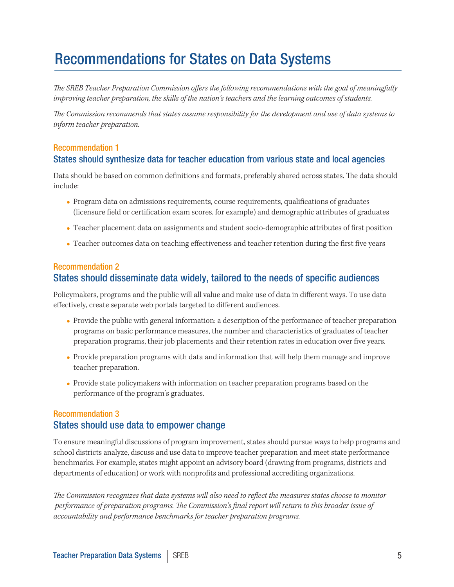## Recommendations for States on Data Systems

*The SREB Teacher Preparation Commission offers the following recommendations with the goal of meaningfully improving teacher preparation, the skills of the nation's teachers and the learning outcomes of students.* 

*The Commission recommends that states assume responsibility for the development and use of data systems to inform teacher preparation.*

#### Recommendation 1 States should synthesize data for teacher education from various state and local agencies

Data should be based on common definitions and formats, preferably shared across states. The data should include:

- <sup>l</sup> Program data on admissions requirements, course requirements, qualifications of graduates (licensure field or certification exam scores, for example) and demographic attributes of graduates
- <sup>l</sup> Teacher placement data on assignments and student socio-demographic attributes of first position
- <sup>l</sup> Teacher outcomes data on teaching effectiveness and teacher retention during the first five years

#### Recommendation 2 States should disseminate data widely, tailored to the needs of specific audiences

Policymakers, programs and the public will all value and make use of data in different ways. To use data effectively, create separate web portals targeted to different audiences.

- <sup>l</sup> Provide the public with general information: a description of the performance of teacher preparation programs on basic performance measures, the number and characteristics of graduates of teacher preparation programs, their job placements and their retention rates in education over five years.
- <sup>l</sup> Provide preparation programs with data and information that will help them manage and improve teacher preparation.
- <sup>l</sup> Provide state policymakers with information on teacher preparation programs based on the performance of the program's graduates.

#### Recommendation 3 States should use data to empower change

To ensure meaningful discussions of program improvement, states should pursue ways to help programs and school districts analyze, discuss and use data to improve teacher preparation and meet state performance benchmarks. For example, states might appoint an advisory board (drawing from programs, districts and departments of education) or work with nonprofits and professional accrediting organizations.

*The Commission recognizes that data systems will also need to reflect the measures states choose to monitor performance of preparation programs. The Commission's final report will return to this broader issue of accountability and performance benchmarks for teacher preparation programs.*